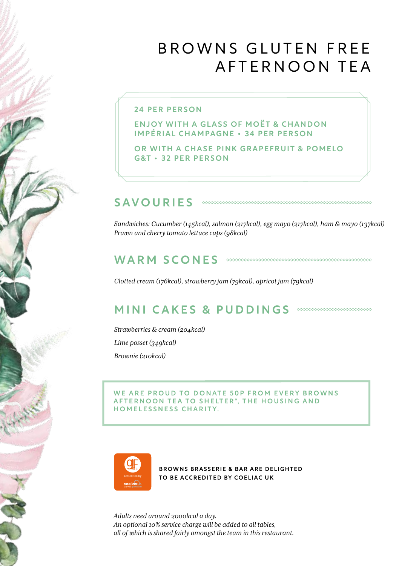# BROWNS GLUTEN FREE AFTERNOON TEA

### 24 PER PERSON

ENJOY WITH A GLASS OF MOËT & CHANDON IMPÉRIAL CHAMPAGNE • 34 PER PERSON

OR WITH A CHASE PINK GRAPEFRUIT & POMELO G&T • 32 PER PERSON

#### SAVOURIES

*Sandwiches: Cucumber (145kcal), salmon (217kcal), egg mayo (217kcal), ham & mayo (137kcal) Prawn and cherry tomato lettuce cups (98kcal)*

### WARM SCONES **CONES**

*Clotted cream (176kcal), strawberry jam (79kcal), apricot jam (79kcal)*

## MINI CAKES & PUDDINGS **WARRENT MINI**

*Strawberries & cream (204kcal) Lime posset (349kcal) Brownie (210kcal)*

#### WE ARE PROUD TO DONATE 50P FROM EVERY BROWNS AFTERNOON TEA TO SHELTER\*, THE HOUSING AND HOMELESSNESS CHARITY.



BROWNS BRASSERIE & BAR ARE DELIGHTED TO BE ACCREDITED BY COELIAC UK

*Adults need around 2000kcal a day. An optional 10% service charge will be added to all tables, all of which is shared fairly amongst the team in this restaurant.*